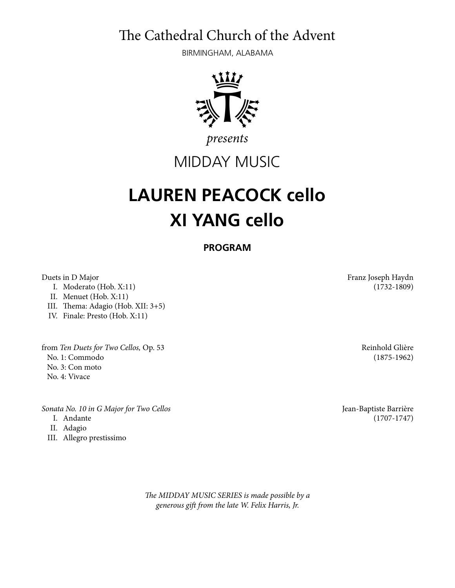The Cathedral Church of the Advent

BIRMINGHAM, ALABAMA



*presents*

## MIDDAY MUSIC

## **LAUREN PEACOCK cello XI YANG cello**

**PROGRAM** 

I. Moderato (Hob. X:11) (1732-1809)

II. Menuet (Hob. X:11)

III. Thema: Adagio (Hob. XII: 3+5)

IV. Finale: Presto (Hob. X:11)

from *Ten Duets for Two Cellos,* Op. 53 Reinhold Glière No. 1: Commodo (1875-1962) No. 3: Con moto No. 4: Vivace

*Sonata No. 10 in G Major for Two Cellos* Jean-Baptiste Barrière

- 
- II. Adagio
- III. Allegro prestissimo

T*e MIDDAY MUSIC SERIES is made possible by a generous gi*f *from the late W. Felix Harris, Jr.* 

Duets in D Major Franz Joseph Haydn

I. Andante (1707-1747)